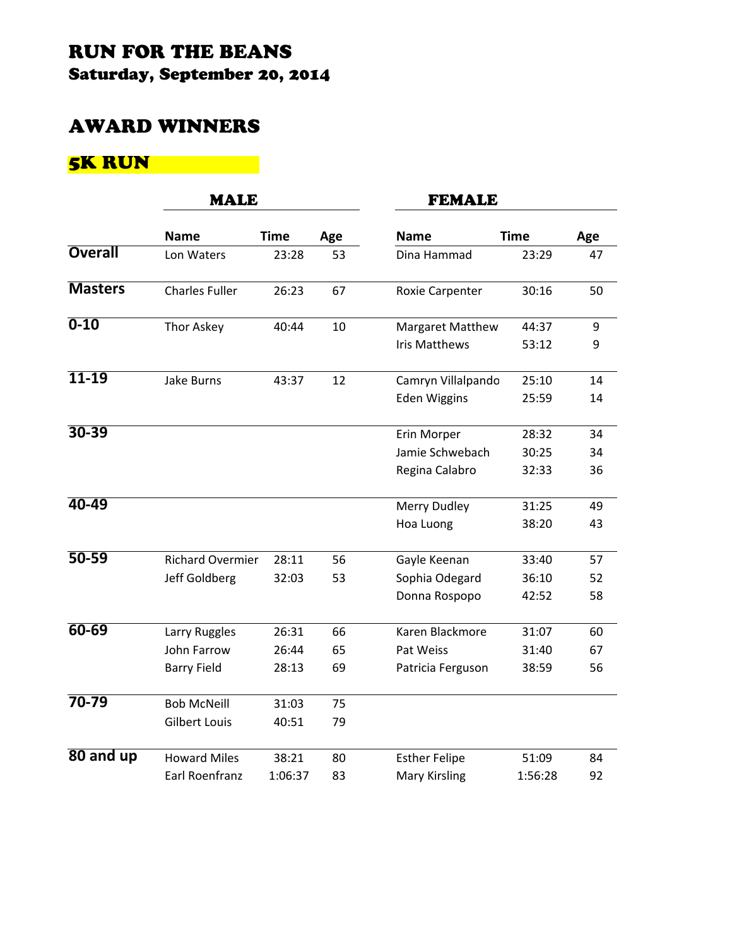## RUN FOR THE BEANS Saturday, September 20, 2014

#### AWARD WINNERS

# 5K RUN

|                | <b>MALE</b>             |             |     | <b>FEMALE</b>        |             |     |
|----------------|-------------------------|-------------|-----|----------------------|-------------|-----|
|                | <b>Name</b>             | <b>Time</b> | Age | <b>Name</b>          | <b>Time</b> | Age |
| <b>Overall</b> | Lon Waters              | 23:28       | 53  | Dina Hammad          | 23:29       | 47  |
| <b>Masters</b> | <b>Charles Fuller</b>   | 26:23       | 67  | Roxie Carpenter      | 30:16       | 50  |
| $0 - 10$       | Thor Askey              | 40:44       | 10  | Margaret Matthew     | 44:37       | 9   |
|                |                         |             |     | <b>Iris Matthews</b> | 53:12       | 9   |
| $11 - 19$      | <b>Jake Burns</b>       | 43:37       | 12  | Camryn Villalpando   | 25:10       | 14  |
|                |                         |             |     | <b>Eden Wiggins</b>  | 25:59       | 14  |
| $30 - 39$      |                         |             |     | Erin Morper          | 28:32       | 34  |
|                |                         |             |     | Jamie Schwebach      | 30:25       | 34  |
|                |                         |             |     | Regina Calabro       | 32:33       | 36  |
| $40 - 49$      |                         |             |     | Merry Dudley         | 31:25       | 49  |
|                |                         |             |     | Hoa Luong            | 38:20       | 43  |
| $50 - 59$      | <b>Richard Overmier</b> | 28:11       | 56  | Gayle Keenan         | 33:40       | 57  |
|                | Jeff Goldberg           | 32:03       | 53  | Sophia Odegard       | 36:10       | 52  |
|                |                         |             |     | Donna Rospopo        | 42:52       | 58  |
| $60 - 69$      | Larry Ruggles           | 26:31       | 66  | Karen Blackmore      | 31:07       | 60  |
|                | John Farrow             | 26:44       | 65  | Pat Weiss            | 31:40       | 67  |
|                | <b>Barry Field</b>      | 28:13       | 69  | Patricia Ferguson    | 38:59       | 56  |
| $70 - 79$      | <b>Bob McNeill</b>      | 31:03       | 75  |                      |             |     |
|                | <b>Gilbert Louis</b>    | 40:51       | 79  |                      |             |     |
| $80$ and up    | <b>Howard Miles</b>     | 38:21       | 80  | <b>Esther Felipe</b> | 51:09       | 84  |
|                | Earl Roenfranz          | 1:06:37     | 83  | <b>Mary Kirsling</b> | 1:56:28     | 92  |